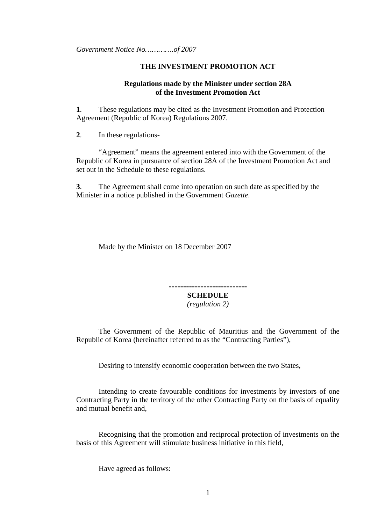*Government Notice No………….of 2007* 

#### **THE INVESTMENT PROMOTION ACT**

#### **Regulations made by the Minister under section 28A of the Investment Promotion Act**

**1**. These regulations may be cited as the Investment Promotion and Protection Agreement (Republic of Korea) Regulations 2007.

**2**. In these regulations-

"Agreement" means the agreement entered into with the Government of the Republic of Korea in pursuance of section 28A of the Investment Promotion Act and set out in the Schedule to these regulations.

**3**. The Agreement shall come into operation on such date as specified by the Minister in a notice published in the Government *Gazette.*

Made by the Minister on 18 December 2007

**--------------------------- SCHEDULE**  *(regulation 2)* 

The Government of the Republic of Mauritius and the Government of the Republic of Korea (hereinafter referred to as the "Contracting Parties"),

Desiring to intensify economic cooperation between the two States,

Intending to create favourable conditions for investments by investors of one Contracting Party in the territory of the other Contracting Party on the basis of equality and mutual benefit and,

Recognising that the promotion and reciprocal protection of investments on the basis of this Agreement will stimulate business initiative in this field,

Have agreed as follows: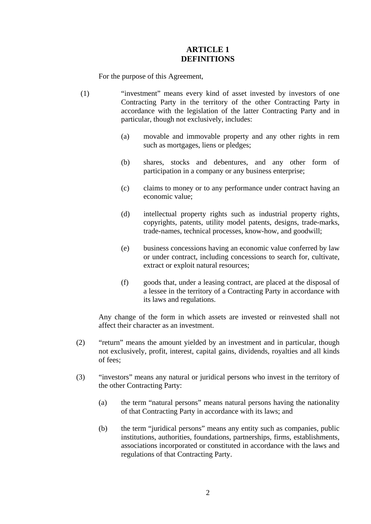## **ARTICLE 1 DEFINITIONS**

For the purpose of this Agreement,

- (1) "investment" means every kind of asset invested by investors of one Contracting Party in the territory of the other Contracting Party in accordance with the legislation of the latter Contracting Party and in particular, though not exclusively, includes:
	- (a) movable and immovable property and any other rights in rem such as mortgages, liens or pledges;
	- (b) shares, stocks and debentures, and any other form of participation in a company or any business enterprise;
	- (c) claims to money or to any performance under contract having an economic value;
	- (d) intellectual property rights such as industrial property rights, copyrights, patents, utility model patents, designs, trade-marks, trade-names, technical processes, know-how, and goodwill;
	- (e) business concessions having an economic value conferred by law or under contract, including concessions to search for, cultivate, extract or exploit natural resources;
	- (f) goods that, under a leasing contract, are placed at the disposal of a lessee in the territory of a Contracting Party in accordance with its laws and regulations.

Any change of the form in which assets are invested or reinvested shall not affect their character as an investment.

- (2) "return" means the amount yielded by an investment and in particular, though not exclusively, profit, interest, capital gains, dividends, royalties and all kinds of fees;
- (3) "investors" means any natural or juridical persons who invest in the territory of the other Contracting Party:
	- (a) the term "natural persons" means natural persons having the nationality of that Contracting Party in accordance with its laws; and
	- (b) the term "juridical persons" means any entity such as companies, public institutions, authorities, foundations, partnerships, firms, establishments, associations incorporated or constituted in accordance with the laws and regulations of that Contracting Party.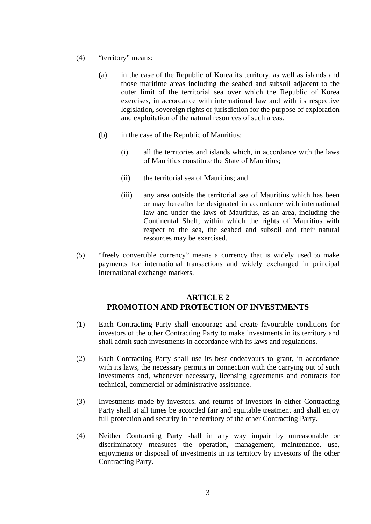- (4) "territory" means:
	- (a) in the case of the Republic of Korea its territory, as well as islands and those maritime areas including the seabed and subsoil adjacent to the outer limit of the territorial sea over which the Republic of Korea exercises, in accordance with international law and with its respective legislation, sovereign rights or jurisdiction for the purpose of exploration and exploitation of the natural resources of such areas.
	- (b) in the case of the Republic of Mauritius:
		- (i) all the territories and islands which, in accordance with the laws of Mauritius constitute the State of Mauritius;
		- (ii) the territorial sea of Mauritius; and
		- (iii) any area outside the territorial sea of Mauritius which has been or may hereafter be designated in accordance with international law and under the laws of Mauritius, as an area, including the Continental Shelf, within which the rights of Mauritius with respect to the sea, the seabed and subsoil and their natural resources may be exercised.
- (5) "freely convertible currency" means a currency that is widely used to make payments for international transactions and widely exchanged in principal international exchange markets.

### **ARTICLE 2 PROMOTION AND PROTECTION OF INVESTMENTS**

- (1) Each Contracting Party shall encourage and create favourable conditions for investors of the other Contracting Party to make investments in its territory and shall admit such investments in accordance with its laws and regulations.
- (2) Each Contracting Party shall use its best endeavours to grant, in accordance with its laws, the necessary permits in connection with the carrying out of such investments and, whenever necessary, licensing agreements and contracts for technical, commercial or administrative assistance.
- (3) Investments made by investors, and returns of investors in either Contracting Party shall at all times be accorded fair and equitable treatment and shall enjoy full protection and security in the territory of the other Contracting Party.
- (4) Neither Contracting Party shall in any way impair by unreasonable or discriminatory measures the operation, management, maintenance, use, enjoyments or disposal of investments in its territory by investors of the other Contracting Party.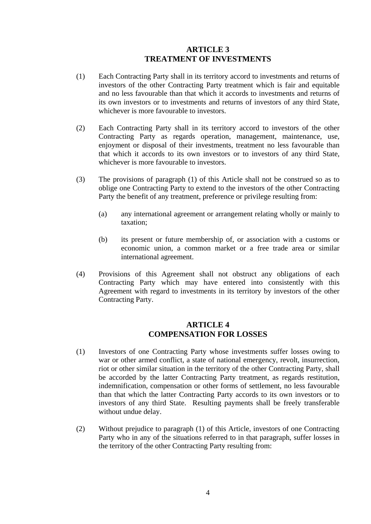### **ARTICLE 3 TREATMENT OF INVESTMENTS**

- (1) Each Contracting Party shall in its territory accord to investments and returns of investors of the other Contracting Party treatment which is fair and equitable and no less favourable than that which it accords to investments and returns of its own investors or to investments and returns of investors of any third State, whichever is more favourable to investors.
- (2) Each Contracting Party shall in its territory accord to investors of the other Contracting Party as regards operation, management, maintenance, use, enjoyment or disposal of their investments, treatment no less favourable than that which it accords to its own investors or to investors of any third State, whichever is more favourable to investors.
- (3) The provisions of paragraph (1) of this Article shall not be construed so as to oblige one Contracting Party to extend to the investors of the other Contracting Party the benefit of any treatment, preference or privilege resulting from:
	- (a) any international agreement or arrangement relating wholly or mainly to taxation;
	- (b) its present or future membership of, or association with a customs or economic union, a common market or a free trade area or similar international agreement.
- (4) Provisions of this Agreement shall not obstruct any obligations of each Contracting Party which may have entered into consistently with this Agreement with regard to investments in its territory by investors of the other Contracting Party.

## **ARTICLE 4 COMPENSATION FOR LOSSES**

- (1) Investors of one Contracting Party whose investments suffer losses owing to war or other armed conflict, a state of national emergency, revolt, insurrection, riot or other similar situation in the territory of the other Contracting Party, shall be accorded by the latter Contracting Party treatment, as regards restitution, indemnification, compensation or other forms of settlement, no less favourable than that which the latter Contracting Party accords to its own investors or to investors of any third State. Resulting payments shall be freely transferable without undue delay.
- (2) Without prejudice to paragraph (1) of this Article, investors of one Contracting Party who in any of the situations referred to in that paragraph, suffer losses in the territory of the other Contracting Party resulting from: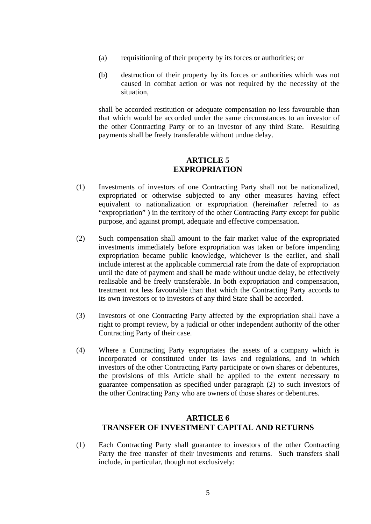- (a) requisitioning of their property by its forces or authorities; or
- (b) destruction of their property by its forces or authorities which was not caused in combat action or was not required by the necessity of the situation,

 shall be accorded restitution or adequate compensation no less favourable than that which would be accorded under the same circumstances to an investor of the other Contracting Party or to an investor of any third State. Resulting payments shall be freely transferable without undue delay.

## **ARTICLE 5 EXPROPRIATION**

- (1) Investments of investors of one Contracting Party shall not be nationalized, expropriated or otherwise subjected to any other measures having effect equivalent to nationalization or expropriation (hereinafter referred to as "expropriation" ) in the territory of the other Contracting Party except for public purpose, and against prompt, adequate and effective compensation.
- (2) Such compensation shall amount to the fair market value of the expropriated investments immediately before expropriation was taken or before impending expropriation became public knowledge, whichever is the earlier, and shall include interest at the applicable commercial rate from the date of expropriation until the date of payment and shall be made without undue delay, be effectively realisable and be freely transferable. In both expropriation and compensation, treatment not less favourable than that which the Contracting Party accords to its own investors or to investors of any third State shall be accorded.
- (3) Investors of one Contracting Party affected by the expropriation shall have a right to prompt review, by a judicial or other independent authority of the other Contracting Party of their case.
- (4) Where a Contracting Party expropriates the assets of a company which is incorporated or constituted under its laws and regulations, and in which investors of the other Contracting Party participate or own shares or debentures, the provisions of this Article shall be applied to the extent necessary to guarantee compensation as specified under paragraph (2) to such investors of the other Contracting Party who are owners of those shares or debentures.

## **ARTICLE 6 TRANSFER OF INVESTMENT CAPITAL AND RETURNS**

(1) Each Contracting Party shall guarantee to investors of the other Contracting Party the free transfer of their investments and returns. Such transfers shall include, in particular, though not exclusively: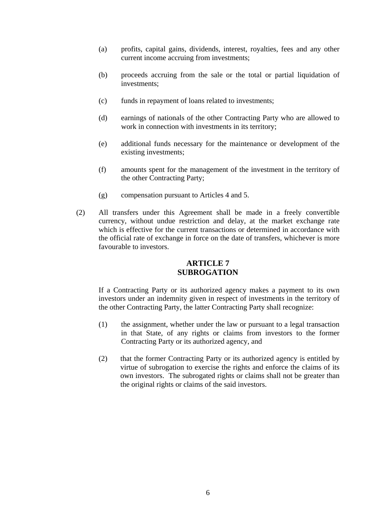- (a) profits, capital gains, dividends, interest, royalties, fees and any other current income accruing from investments;
- (b) proceeds accruing from the sale or the total or partial liquidation of investments;
- (c) funds in repayment of loans related to investments;
- (d) earnings of nationals of the other Contracting Party who are allowed to work in connection with investments in its territory;
- (e) additional funds necessary for the maintenance or development of the existing investments;
- (f) amounts spent for the management of the investment in the territory of the other Contracting Party;
- (g) compensation pursuant to Articles 4 and 5.
- (2) All transfers under this Agreement shall be made in a freely convertible currency, without undue restriction and delay, at the market exchange rate which is effective for the current transactions or determined in accordance with the official rate of exchange in force on the date of transfers, whichever is more favourable to investors.

### **ARTICLE 7 SUBROGATION**

 If a Contracting Party or its authorized agency makes a payment to its own investors under an indemnity given in respect of investments in the territory of the other Contracting Party, the latter Contracting Party shall recognize:

- (1) the assignment, whether under the law or pursuant to a legal transaction in that State, of any rights or claims from investors to the former Contracting Party or its authorized agency, and
- (2) that the former Contracting Party or its authorized agency is entitled by virtue of subrogation to exercise the rights and enforce the claims of its own investors. The subrogated rights or claims shall not be greater than the original rights or claims of the said investors.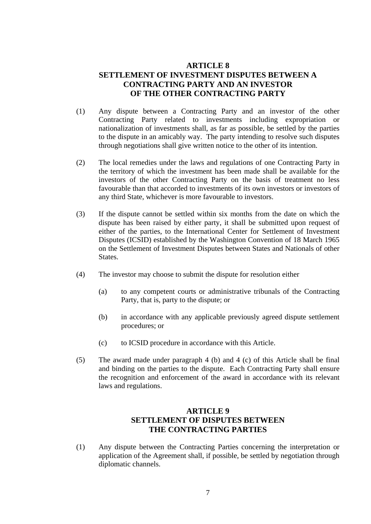## **ARTICLE 8 SETTLEMENT OF INVESTMENT DISPUTES BETWEEN A CONTRACTING PARTY AND AN INVESTOR OF THE OTHER CONTRACTING PARTY**

- (1) Any dispute between a Contracting Party and an investor of the other Contracting Party related to investments including expropriation or nationalization of investments shall, as far as possible, be settled by the parties to the dispute in an amicably way. The party intending to resolve such disputes through negotiations shall give written notice to the other of its intention.
- (2) The local remedies under the laws and regulations of one Contracting Party in the territory of which the investment has been made shall be available for the investors of the other Contracting Party on the basis of treatment no less favourable than that accorded to investments of its own investors or investors of any third State, whichever is more favourable to investors.
- (3) If the dispute cannot be settled within six months from the date on which the dispute has been raised by either party, it shall be submitted upon request of either of the parties, to the International Center for Settlement of Investment Disputes (ICSID) established by the Washington Convention of 18 March 1965 on the Settlement of Investment Disputes between States and Nationals of other States.
- (4) The investor may choose to submit the dispute for resolution either
	- (a) to any competent courts or administrative tribunals of the Contracting Party, that is, party to the dispute; or
	- (b) in accordance with any applicable previously agreed dispute settlement procedures; or
	- (c) to ICSID procedure in accordance with this Article.
- (5) The award made under paragraph 4 (b) and 4 (c) of this Article shall be final and binding on the parties to the dispute. Each Contracting Party shall ensure the recognition and enforcement of the award in accordance with its relevant laws and regulations.

## **ARTICLE 9 SETTLEMENT OF DISPUTES BETWEEN THE CONTRACTING PARTIES**

(1) Any dispute between the Contracting Parties concerning the interpretation or application of the Agreement shall, if possible, be settled by negotiation through diplomatic channels.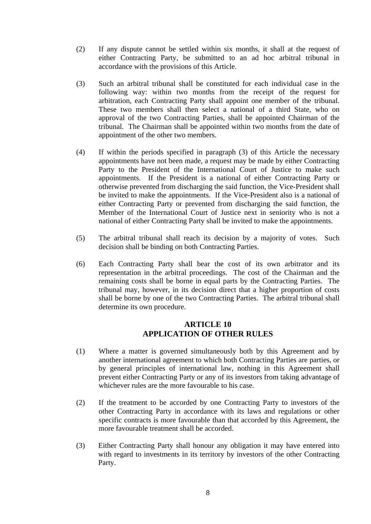- (2) If any dispute cannot be settled within six months, it shall at the request of either Contracting Party, be submitted to an ad hoc arbitral tribunal in accordance with the provisions of this Article.
- (3) Such an arbitral tribunal shall be constituted for each individual case in the following way: within two months from the receipt of the request for arbitration, each Contracting Party shall appoint one member of the tribunal. These two members shall then select a national of a third State, who on approval of the two Contracting Parties, shall be appointed Chairman of the tribunal. The Chairman shall be appointed within two months from the date of appointment of the other two members.
- (4) If within the periods specified in paragraph (3) of this Article the necessary appointments have not been made, a request may be made by either Contracting Party to the President of the International Court of Justice to make such appointments. If the President is a national of either Contracting Party or otherwise prevented from discharging the said function, the Vice-President shall be invited to make the appointments. If the Vice-President also is a national of either Contracting Party or prevented from discharging the said function, the Member of the International Court of Justice next in seniority who is not a national of either Contracting Party shall be invited to make the appointments.
- (5) The arbitral tribunal shall reach its decision by a majority of votes. Such decision shall be binding on both Contracting Parties.
- (6) Each Contracting Party shall bear the cost of its own arbitrator and its representation in the arbitral proceedings. The cost of the Chairman and the remaining costs shall be borne in equal parts by the Contracting Parties. The tribunal may, however, in its decision direct that a higher proportion of costs shall be borne by one of the two Contracting Parties. The arbitral tribunal shall determine its own procedure.

#### **ARTICLE 10 APPLICATION OF OTHER RULES**

- (1) Where a matter is governed simultaneously both by this Agreement and by another international agreement to which both Contracting Parties are parties, or by general principles of international law, nothing in this Agreement shall prevent either Contracting Party or any of its investors from taking advantage of whichever rules are the more favourable to his case.
- (2) If the treatment to be accorded by one Contracting Party to investors of the other Contracting Party in accordance with its laws and regulations or other specific contracts is more favourable than that accorded by this Agreement, the more favourable treatment shall be accorded.
- (3) Either Contracting Party shall honour any obligation it may have entered into with regard to investments in its territory by investors of the other Contracting Party.